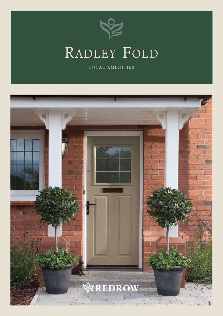

LOCAL AMENITIES

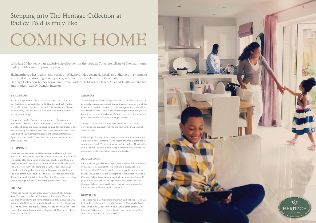#### Transpor t

Skelmanthorpe is centrally placed within easy reach of many key Yorkshire towns and cities, with Huddersfield just 9 miles, Wakefield 10 miles, Barnsley 12 miles, Leeds 20 miles and Sheffield 23 miles away. The M1 and M62 are both also within easy reach for daily commuting.

Trains from nearby Denby Dale station make the commute even easier, speeding you into Huddersfield in just 25 minutes, as well as Sheffield and Leeds in under an hour. Skelmanthorpe is also well serviced by Metro buses with easy access to Huddersfield, Denby Dale, Scissett and other local villages. Furthermore, international flights can be accessed at Leeds Bradford Airport, around 30 miles from Radley Fold.

#### **SHOPPING**

There are various shops in Skelmanthorpe including a florist, health and beauty shop, jewellers, confectioners and a post office. The village also has a Co-operative supermarket, and there is a larger Morrisons store close by on the outskirts of Huddersfield. For a more extensive shopping trip nearby Huddersfield has a wealth of high quality shopping in Kingsgate and the Piazza and also nearby Wakefield. Leeds is also an excellent shopping destination, with the White Rose Shopping Centre and the quirky Corn Exchange just two of the many places worth a visit.

#### **DINING**

Within the village you can enjoy quality dining at The Grove, Solos Tandoori or Volare Mediterranean Restaurant. There are also friendly country pubs serving traditional food across the area including the Dunkirk Inn and the Woodman Inn. For the perfect place to relax visit the popular Henry's coffee and wine bar or for a special occasion, book a table at Bagden Hall Hotel or try their Bistro Bar for lunch.

#### **LEISURE**

Skelmanthorpe is a small village with a big personality, as shown by its popular cricket and football teams. It is also home to one of the oldest brass bands in the country, which competes at a national level. Huddersfield Sports Centre is the nearest major facility, but you can keep fit at the nearby Bodyzone Fitness centre, or enjoy a round of golf at Woodsome Hall or Silkstone golf courses.

Nearby, Cannon Hall Country Park makes for a fun family day out, or you can really take to the hills in the Peak District National Park.

Kirklees Light Railway offers nostalgic memories of steam trains for older visitors and Thomas the Tank Engine and friends caters for the younger ones, with 31/2 miles of scenic track to explore. Huddersfield and Wakefield also offer a wide range of entertainment, leisure and recreational facilities including cinema and bowling.

## Educa tion

For a small village, Skelmanthorpe is well served with local schools, with a choice of Skelmanthorpe First and Nursery School or St Aidan's C of E First School for younger pupils, and nearby Shelley College for older children right up to sixth form. Wakefield Grammar School Foundation offers single sex education from 4-18 years at both Wakefield Girls High School and Queen Elizabeth Grammar School, Junior and Senior. Further education can be found at nearby Huddersfield University.

## SERVIC

The village has a Co-Operative pharmacy and opticians. GPs can be found at Skelmanthorpe Family Doctors on Commercial Road (Sat Nav HD8 9DA, call 01484 503515) and a dental practice is also local with Skelmanthorpe Dental Practice on Huddersfield Road (Sat Nav HD8 9AE, call 01484 864767).

With just 26 homes on an exclusive development in the popular Yorkshire village of Skelmanthorpe, Radley Fold is sure to prove popular.

Skelmanthorpe lies within easy reach of Wakefield, Huddersfield, Leeds and Sheffield, yet remains surrounded by stunning countryside giving you the very best of both worlds - just like the superb Heritage Collection homes being built there, with their blend of classic Arts and Crafts architecture and modern, family friendly interiors.

## Stepping into The Heritage Collection at Radley Fold is truly like

# COMING HOME